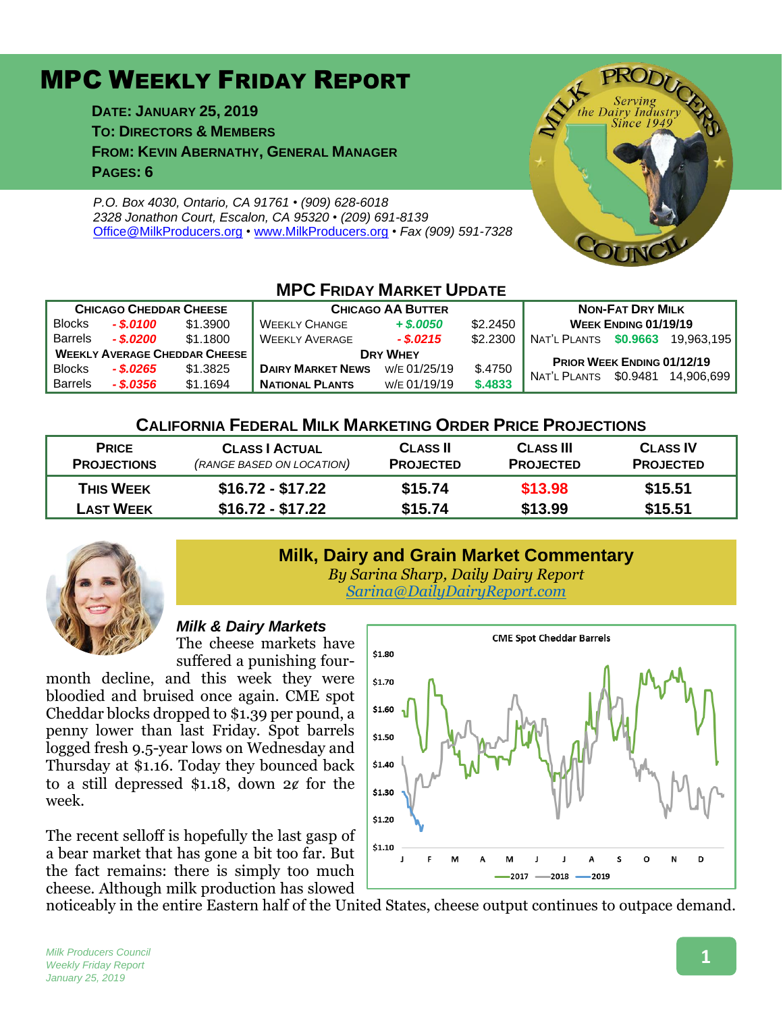# MPC WEEKLY FRIDAY REPORT

**DATE: JANUARY 25, 2019 TO: DIRECTORS & MEMBERS FROM: KEVIN ABERNATHY, GENERAL MANAGER PAGES: 6**

*P.O. Box 4030, Ontario, CA 91761 • (909) 628-6018 2328 Jonathon Court, Escalon, CA 95320 • (209) 691-8139* [Office@MilkProducers.org](mailto:office@milkproducers.org) *•* [www.MilkProducers.org](http://www.milkproducers.org/) *• Fax (909) 591-7328*



# **MPC FRIDAY MARKET UPDATE CHICAGO CHEDDAR CHEESE CHICAGO AA BUTTER NON-FAT DRY MILK**

| <b>UITUAGU UITLUUAN UITLLUL</b>      |                 |          | <u>UIIIVAYY AA DUTTER</u> |              |                                   | $11011 - 171$         |                             |            |
|--------------------------------------|-----------------|----------|---------------------------|--------------|-----------------------------------|-----------------------|-----------------------------|------------|
| <b>Blocks</b>                        | $-$ \$.0100     | \$1,3900 | <b>WEEKLY CHANGE</b>      | $+$ \$,0050  | \$2.2450                          |                       | <b>WEEK ENDING 01/19/19</b> |            |
| <b>Barrels</b>                       | $-$ \$.0200 $-$ | \$1.1800 | <b>WEEKLY AVERAGE</b>     | $-$ \$.0215  | \$2,2300                          | NAT'L PLANTS \$0.9663 |                             | 19.963.195 |
| <b>WEEKLY AVERAGE CHEDDAR CHEESE</b> |                 |          | <b>DRY WHEY</b>           |              | <b>PRIOR WEEK ENDING 01/12/19</b> |                       |                             |            |
| <b>Blocks</b>                        | $-$ \$.0265     | \$1.3825 | <b>DAIRY MARKET NEWS</b>  | W/E 01/25/19 | \$.4750                           | NAT'L PLANTS          | \$0.9481                    | 14.906.699 |
| <b>Barrels</b>                       | - \$.0356       | \$1.1694 | <b>NATIONAL PLANTS</b>    | W/E 01/19/19 | \$.4833                           |                       |                             |            |

### **CALIFORNIA FEDERAL MILK MARKETING ORDER PRICE PROJECTIONS**

| <b>PRICE</b>       | <b>CLASS   ACTUAL</b>     | <b>CLASS II</b>  | <b>CLASS III</b> | <b>CLASS IV</b>  |  |
|--------------------|---------------------------|------------------|------------------|------------------|--|
| <b>PROJECTIONS</b> | (RANGE BASED ON LOCATION) | <b>PROJECTED</b> | <b>PROJECTED</b> | <b>PROJECTED</b> |  |
| <b>THIS WEEK</b>   | $$16.72 - $17.22$         | \$15.74          | \$13.98          | \$15.51          |  |
| <b>LAST WEEK</b>   | $$16.72 - $17.22$         | \$15.74          | \$13.99          | \$15.51          |  |



## **Milk, Dairy and Grain Market Commentary**

*By Sarina Sharp, Daily Dairy Report [Sarina@DailyDairyReport.com](mailto:Sarina@DailyDairyReport.com)*

#### *Milk & Dairy Markets*

The cheese markets have suffered a punishing four-

month decline, and this week they were bloodied and bruised once again. CME spot Cheddar blocks dropped to \$1.39 per pound, a penny lower than last Friday. Spot barrels logged fresh 9.5-year lows on Wednesday and Thursday at \$1.16. Today they bounced back to a still depressed  $$1.18$ , down  $2¢$  for the week.

The recent selloff is hopefully the last gasp of a bear market that has gone a bit too far. But the fact remains: there is simply too much cheese. Although milk production has slowed



noticeably in the entire Eastern half of the United States, cheese output continues to outpace demand.

*Milk Producers Council Weekly Friday Report January 25, 2019*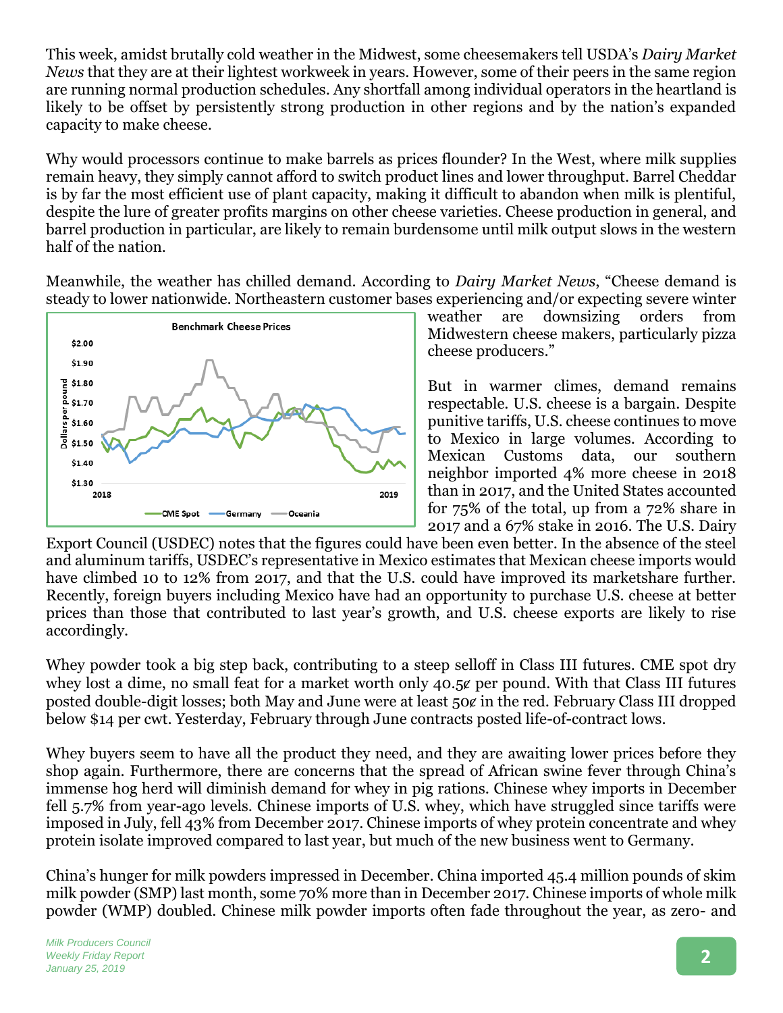This week, amidst brutally cold weather in the Midwest, some cheesemakers tell USDA's *Dairy Market News* that they are at their lightest workweek in years. However, some of their peers in the same region are running normal production schedules. Any shortfall among individual operators in the heartland is likely to be offset by persistently strong production in other regions and by the nation's expanded capacity to make cheese.

Why would processors continue to make barrels as prices flounder? In the West, where milk supplies remain heavy, they simply cannot afford to switch product lines and lower throughput. Barrel Cheddar is by far the most efficient use of plant capacity, making it difficult to abandon when milk is plentiful, despite the lure of greater profits margins on other cheese varieties. Cheese production in general, and barrel production in particular, are likely to remain burdensome until milk output slows in the western half of the nation.

Meanwhile, the weather has chilled demand. According to *Dairy Market News*, "Cheese demand is steady to lower nationwide. Northeastern customer bases experiencing and/or expecting severe winter



weather are downsizing orders from Midwestern cheese makers, particularly pizza cheese producers."

But in warmer climes, demand remains respectable. U.S. cheese is a bargain. Despite punitive tariffs, U.S. cheese continues to move to Mexico in large volumes. According to Mexican Customs data, our southern neighbor imported 4% more cheese in 2018 than in 2017, and the United States accounted for 75% of the total, up from a 72% share in 2017 and a 67% stake in 2016. The U.S. Dairy

Export Council (USDEC) notes that the figures could have been even better. In the absence of the steel and aluminum tariffs, USDEC's representative in Mexico estimates that Mexican cheese imports would have climbed 10 to 12% from 2017, and that the U.S. could have improved its marketshare further. Recently, foreign buyers including Mexico have had an opportunity to purchase U.S. cheese at better prices than those that contributed to last year's growth, and U.S. cheese exports are likely to rise accordingly.

Whey powder took a big step back, contributing to a steep selloff in Class III futures. CME spot dry whey lost a dime, no small feat for a market worth only 40.5¢ per pound. With that Class III futures posted double-digit losses; both May and June were at least 50 $\epsilon$  in the red. February Class III dropped below \$14 per cwt. Yesterday, February through June contracts posted life-of-contract lows.

Whey buyers seem to have all the product they need, and they are awaiting lower prices before they shop again. Furthermore, there are concerns that the spread of African swine fever through China's immense hog herd will diminish demand for whey in pig rations. Chinese whey imports in December fell 5.7% from year-ago levels. Chinese imports of U.S. whey, which have struggled since tariffs were imposed in July, fell 43% from December 2017. Chinese imports of whey protein concentrate and whey protein isolate improved compared to last year, but much of the new business went to Germany.

China's hunger for milk powders impressed in December. China imported 45.4 million pounds of skim milk powder (SMP) last month, some 70% more than in December 2017. Chinese imports of whole milk powder (WMP) doubled. Chinese milk powder imports often fade throughout the year, as zero- and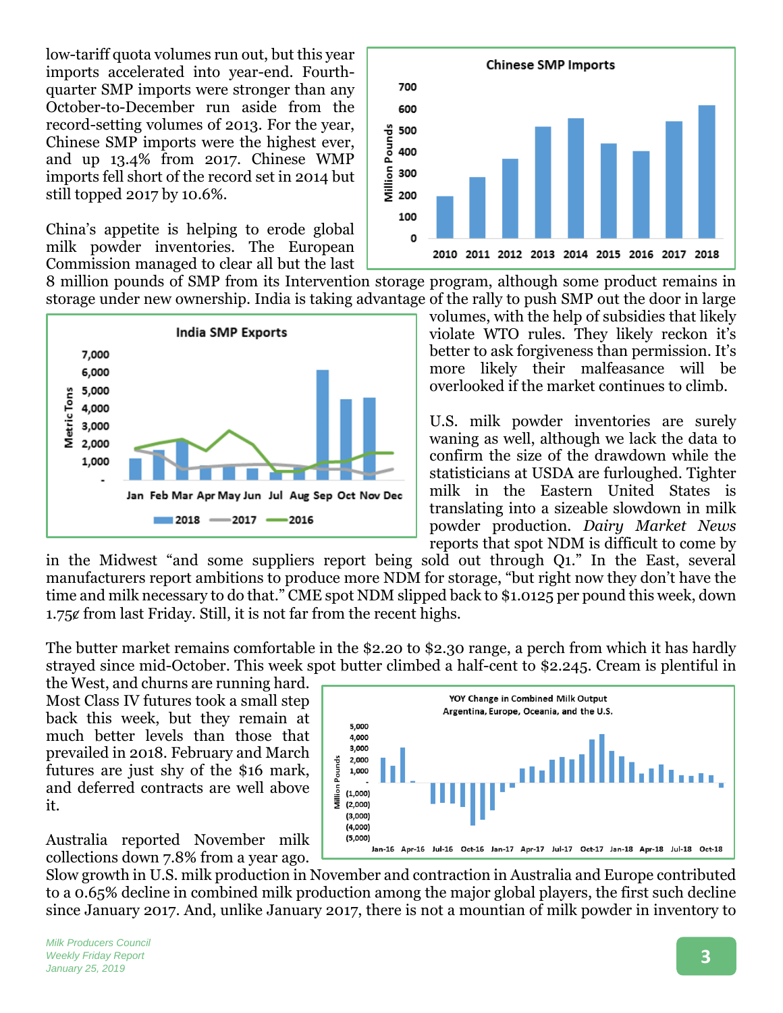low-tariff quota volumes run out, but this year imports accelerated into year-end. Fourthquarter SMP imports were stronger than any October-to-December run aside from the record-setting volumes of 2013. For the year, Chinese SMP imports were the highest ever, and up 13.4% from 2017. Chinese WMP imports fell short of the record set in 2014 but still topped 2017 by 10.6%.

China's appetite is helping to erode global milk powder inventories. The European Commission managed to clear all but the last



**Chinese SMP Imports** 700 600  $\begin{array}{l} 400 \\ 400 \\ 640 \\ 640 \\ 300 \\ 200 \end{array}$ 100 0 2010 2011 2012 2013 2014 2015 2016 2017 2018

> volumes, with the help of subsidies that likely violate WTO rules. They likely reckon it's better to ask forgiveness than permission. It's more likely their malfeasance will be overlooked if the market continues to climb.

U.S. milk powder inventories are surely waning as well, although we lack the data to confirm the size of the drawdown while the statisticians at USDA are furloughed. Tighter milk in the Eastern United States is translating into a sizeable slowdown in milk powder production. *Dairy Market News* reports that spot NDM is difficult to come by

in the Midwest "and some suppliers report being sold out through Q1." In the East, several manufacturers report ambitions to produce more NDM for storage, "but right now they don't have the time and milk necessary to do that." CME spot NDM slipped back to \$1.0125 per pound this week, down  $1.75¢$  from last Friday. Still, it is not far from the recent highs.

8 million pounds of SMP from its Intervention storage program, although some product remains in

The butter market remains comfortable in the \$2.20 to \$2.30 range, a perch from which it has hardly strayed since mid-October. This week spot butter climbed a half-cent to \$2.245. Cream is plentiful in

the West, and churns are running hard. Most Class IV futures took a small step back this week, but they remain at much better levels than those that prevailed in 2018. February and March futures are just shy of the \$16 mark, and deferred contracts are well above it.

Australia reported November milk collections down 7.8% from a year ago.



Slow growth in U.S. milk production in November and contraction in Australia and Europe contributed to a 0.65% decline in combined milk production among the major global players, the first such decline since January 2017. And, unlike January 2017, there is not a mountian of milk powder in inventory to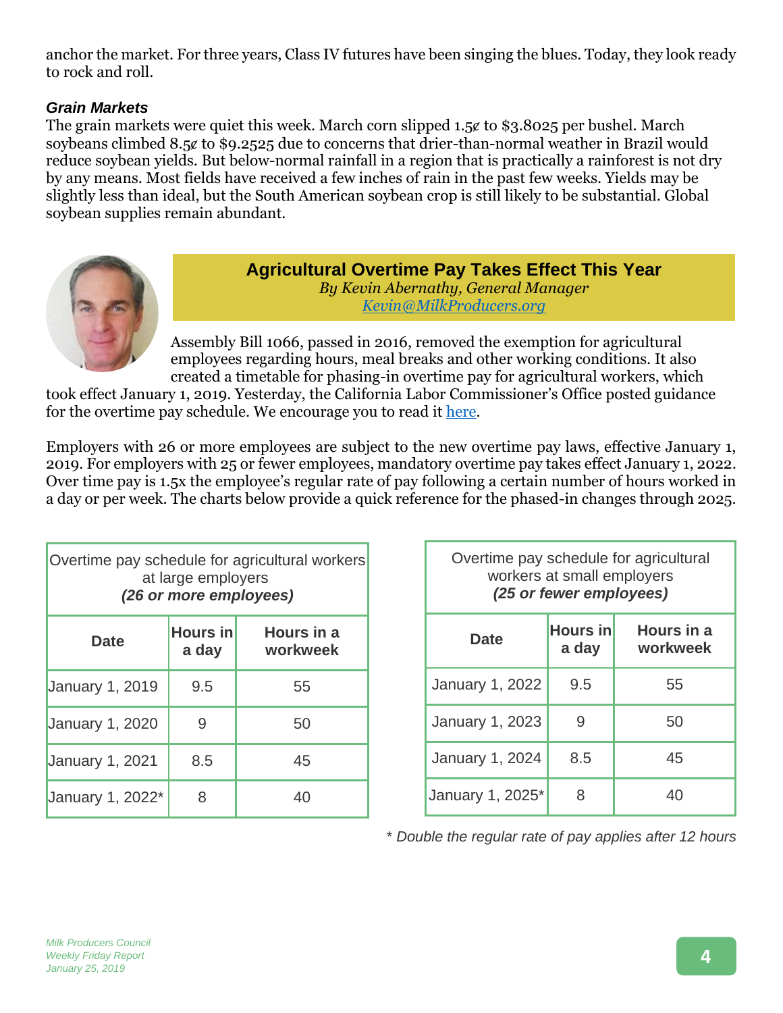anchor the market. For three years, Class IV futures have been singing the blues. Today, they look ready to rock and roll.

### *Grain Markets*

The grain markets were quiet this week. March corn slipped  $1.5¢$  to \$3.8025 per bushel. March soybeans climbed 8.5¢ to \$9.2525 due to concerns that drier-than-normal weather in Brazil would reduce soybean yields. But below-normal rainfall in a region that is practically a rainforest is not dry by any means. Most fields have received a few inches of rain in the past few weeks. Yields may be slightly less than ideal, but the South American soybean crop is still likely to be substantial. Global soybean supplies remain abundant.



**Agricultural Overtime Pay Takes Effect This Year** *By Kevin Abernathy, General Manager Kevin@MilkProducers.org*

Assembly Bill 1066, passed in 2016, removed the exemption for agricultural employees regarding hours, meal breaks and other working conditions. It also created a timetable for phasing-in overtime pay for agricultural workers, which

took effect January 1, 2019. Yesterday, the California Labor Commissioner's Office posted guidance for the overtime pay schedule. We encourage you to read it [here.](https://www.dir.ca.gov/dlse/Overtime-for-Agricultural-Workers.html)

Employers with 26 or more employees are subject to the new overtime pay laws, effective January 1, 2019. For employers with 25 or fewer employees, mandatory overtime pay takes effect January 1, 2022. Over time pay is 1.5x the employee's regular rate of pay following a certain number of hours worked in a day or per week. The charts below provide a quick reference for the phased-in changes through 2025.

| Overtime pay schedule for agricultural workers<br>at large employers<br>(26 or more employees) |                          |                        |  |
|------------------------------------------------------------------------------------------------|--------------------------|------------------------|--|
| <b>Date</b>                                                                                    | <b>Hours in</b><br>a day | Hours in a<br>workweek |  |
| <b>January 1, 2019</b>                                                                         | 9.5                      | 55                     |  |
| <b>January 1, 2020</b>                                                                         | 9                        | 50                     |  |
| <b>January 1, 2021</b>                                                                         | 8.5                      | 45                     |  |
| January 1, 2022*                                                                               | 8                        | 40                     |  |

| Overtime pay schedule for agricultural<br>workers at small employers<br>(25 or fewer employees) |                   |                        |  |
|-------------------------------------------------------------------------------------------------|-------------------|------------------------|--|
| Date                                                                                            | Hours in<br>a day | Hours in a<br>workweek |  |
| January 1, 2022                                                                                 | 9.5               | 55                     |  |
| <b>January 1, 2023</b>                                                                          | 9                 | 50                     |  |
| <b>January 1, 2024</b>                                                                          | 8.5               | 45                     |  |
| January 1, 2025*                                                                                | 8                 | 40                     |  |

\* *Double the regular rate of pay applies after 12 hours*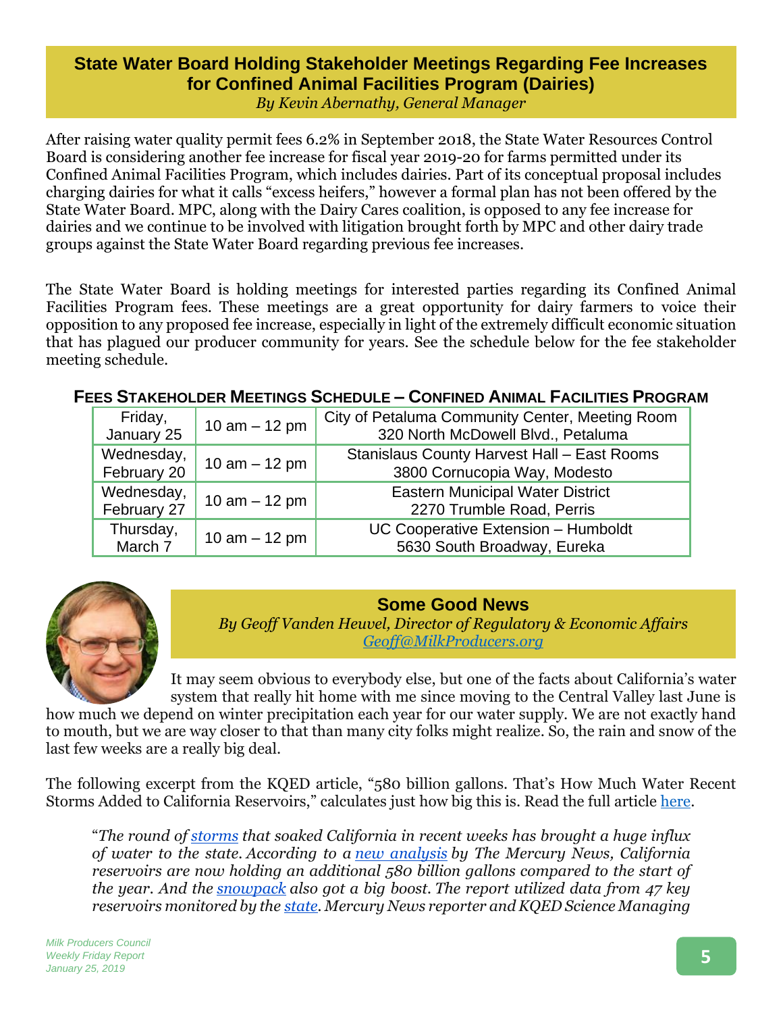### **State Water Board Holding Stakeholder Meetings Regarding Fee Increases for Confined Animal Facilities Program (Dairies)**

*By Kevin Abernathy, General Manager*

After raising water quality permit fees 6.2% in September 2018, the State Water Resources Control Board is considering another fee increase for fiscal year 2019-20 for farms permitted under its Confined Animal Facilities Program, which includes dairies. Part of its conceptual proposal includes charging dairies for what it calls "excess heifers," however a formal plan has not been offered by the State Water Board. MPC, along with the Dairy Cares coalition, is opposed to any fee increase for dairies and we continue to be involved with litigation brought forth by MPC and other dairy trade groups against the State Water Board regarding previous fee increases.

The State Water Board is holding meetings for interested parties regarding its Confined Animal Facilities Program fees. These meetings are a great opportunity for dairy farmers to voice their opposition to any proposed fee increase, especially in light of the extremely difficult economic situation that has plagued our producer community for years. See the schedule below for the fee stakeholder meeting schedule.

### **FEES STAKEHOLDER MEETINGS SCHEDULE – CONFINED ANIMAL FACILITIES PROGRAM**

| Friday,<br>January 25     | 10 $am - 12 pm$ | City of Petaluma Community Center, Meeting Room<br>320 North McDowell Blvd., Petaluma |
|---------------------------|-----------------|---------------------------------------------------------------------------------------|
| Wednesday,<br>February 20 | 10 $am - 12 pm$ | Stanislaus County Harvest Hall - East Rooms<br>3800 Cornucopia Way, Modesto           |
| Wednesday,<br>February 27 | 10 $am - 12 pm$ | <b>Eastern Municipal Water District</b><br>2270 Trumble Road, Perris                  |
| Thursday,<br>March 7      | 10 $am - 12 pm$ | UC Cooperative Extension - Humboldt<br>5630 South Broadway, Eureka                    |



**Some Good News** *By Geoff Vanden Heuvel, Director of Regulatory & Economic Affairs [Geoff@MilkProducers.org](mailto:Geoff@MilkProducers.org)*

It may seem obvious to everybody else, but one of the facts about California's water system that really hit home with me since moving to the Central Valley last June is

how much we depend on winter precipitation each year for our water supply. We are not exactly hand to mouth, but we are way closer to that than many city folks might realize. So, the rain and snow of the last few weeks are a really big deal.

The following excerpt from the KQED article, "580 billion gallons. That's How Much Water Recent Storms Added to California Reservoirs," calculates just how big this is. Read the full article [here.](https://www.kqed.org/science/1937133/580-billion-gallons-thats-how-much-water-recent-storms-added-to-california-reservoirs)

"*The round of [storms](https://www.kqed.org/science/1936853/here-comes-the-big-bay-area-storm-dangerous-blizzard-conditions-in-sierra-nevada) that soaked California in recent weeks has brought a huge influx of water to the state. According to a new [analysis](https://www.mercurynews.com/2019/01/23/california-rainfall-reservoir-level-sierra-snow/) by The Mercury News, California reservoirs are now holding an additional 580 billion gallons compared to the start of the year. And the [snowpack](https://www.sfgate.com/weather/article/Sierra-snow-pack-size-percent-of-average-2019-13552288.php) also got a big boost. The report utilized data from 47 key reservoirs monitored by the [state.](https://water.ca.gov/) Mercury News reporter and KQED Science Managing*